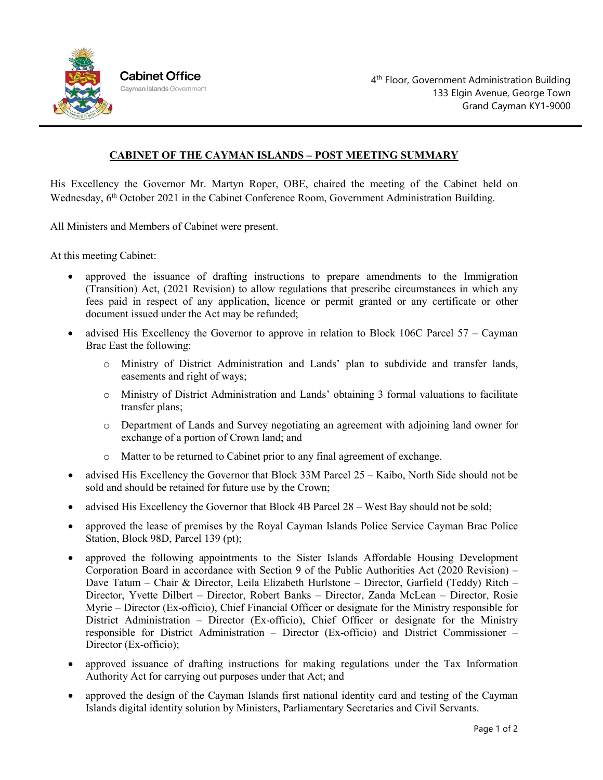

## **CABINET OF THE CAYMAN ISLANDS – POST MEETING SUMMARY**

His Excellency the Governor Mr. Martyn Roper, OBE, chaired the meeting of the Cabinet held on Wednesday, 6<sup>th</sup> October 2021 in the Cabinet Conference Room, Government Administration Building.

All Ministers and Members of Cabinet were present.

At this meeting Cabinet:

- approved the issuance of drafting instructions to prepare amendments to the Immigration (Transition) Act, (2021 Revision) to allow regulations that prescribe circumstances in which any fees paid in respect of any application, licence or permit granted or any certificate or other document issued under the Act may be refunded;
- advised His Excellency the Governor to approve in relation to Block 106C Parcel  $57 Cayman$ Brac East the following:
	- o Ministry of District Administration and Lands' plan to subdivide and transfer lands, easements and right of ways;
	- o Ministry of District Administration and Lands' obtaining 3 formal valuations to facilitate transfer plans;
	- o Department of Lands and Survey negotiating an agreement with adjoining land owner for exchange of a portion of Crown land; and
	- o Matter to be returned to Cabinet prior to any final agreement of exchange.
- advised His Excellency the Governor that Block 33M Parcel 25 Kaibo, North Side should not be sold and should be retained for future use by the Crown;
- advised His Excellency the Governor that Block 4B Parcel 28 West Bay should not be sold;
- approved the lease of premises by the Royal Cayman Islands Police Service Cayman Brac Police Station, Block 98D, Parcel 139 (pt);
- approved the following appointments to the Sister Islands Affordable Housing Development Corporation Board in accordance with Section 9 of the Public Authorities Act (2020 Revision) – Dave Tatum – Chair & Director, Leila Elizabeth Hurlstone – Director, Garfield (Teddy) Ritch – Director, Yvette Dilbert – Director, Robert Banks – Director, Zanda McLean – Director, Rosie Myrie – Director (Ex-officio), Chief Financial Officer or designate for the Ministry responsible for District Administration – Director (Ex-officio), Chief Officer or designate for the Ministry responsible for District Administration – Director (Ex-officio) and District Commissioner – Director (Ex-officio);
- approved issuance of drafting instructions for making regulations under the Tax Information Authority Act for carrying out purposes under that Act; and
- approved the design of the Cayman Islands first national identity card and testing of the Cayman Islands digital identity solution by Ministers, Parliamentary Secretaries and Civil Servants.